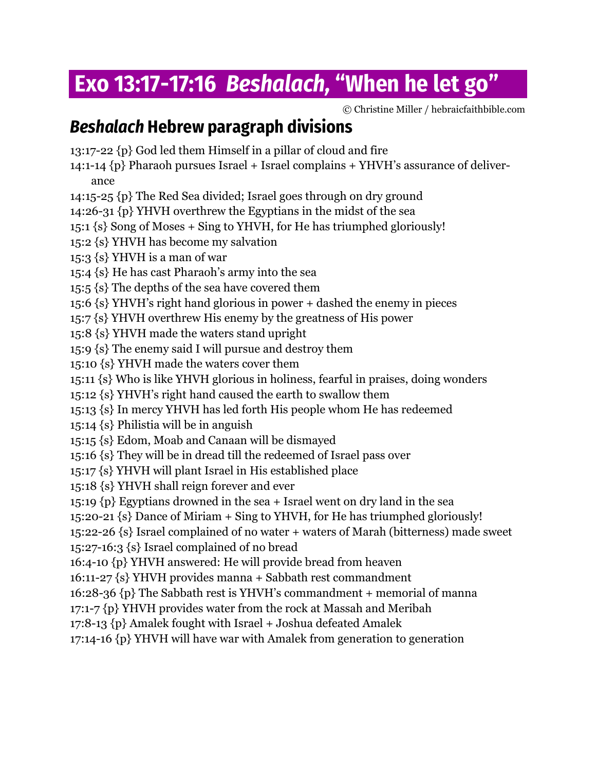# **Exo 13:17-17:16** *Beshalach,*  **"When he let go"**

© Christine Miller / hebraicfaithbible.com

# *Beshalach* **Hebrew paragraph divisions**

13:17-22 {p} God led them Himself in a pillar of cloud and fire

14:1-14  $\{p\}$  Pharaoh pursues Israel + Israel complains + YHVH's assurance of deliverance

14:15-25 {p} The Red Sea divided; Israel goes through on dry ground

14:26-31 {p} YHVH overthrew the Egyptians in the midst of the sea

15:1 {s} Song of Moses + Sing to YHVH, for He has triumphed gloriously!

15:2 {s} YHVH has become my salvation

15:3 {s} YHVH is a man of war

15:4 {s} He has cast Pharaoh's army into the sea

15:5 {s} The depths of the sea have covered them

15:6 {s} YHVH's right hand glorious in power + dashed the enemy in pieces

15:7 {s} YHVH overthrew His enemy by the greatness of His power

15:8 {s} YHVH made the waters stand upright

15:9 {s} The enemy said I will pursue and destroy them

15:10 {s} YHVH made the waters cover them

15:11 {s} Who is like YHVH glorious in holiness, fearful in praises, doing wonders

15:12 {s} YHVH's right hand caused the earth to swallow them

15:13 {s} In mercy YHVH has led forth His people whom He has redeemed

15:14 {s} Philistia will be in anguish

15:15 {s} Edom, Moab and Canaan will be dismayed

15:16 {s} They will be in dread till the redeemed of Israel pass over

15:17 {s} YHVH will plant Israel in His established place

15:18 {s} YHVH shall reign forever and ever

15:19 {p} Egyptians drowned in the sea + Israel went on dry land in the sea

15:20-21 {s} Dance of Miriam + Sing to YHVH, for He has triumphed gloriously!

15:22-26 {s} Israel complained of no water + waters of Marah (bitterness) made sweet 15:27-16:3 {s} Israel complained of no bread

16:4-10 {p} YHVH answered: He will provide bread from heaven

16:11-27 {s} YHVH provides manna + Sabbath rest commandment

16:28-36 {p} The Sabbath rest is YHVH's commandment + memorial of manna

17:1-7 {p} YHVH provides water from the rock at Massah and Meribah

17:8-13 {p} Amalek fought with Israel + Joshua defeated Amalek

17:14-16 {p} YHVH will have war with Amalek from generation to generation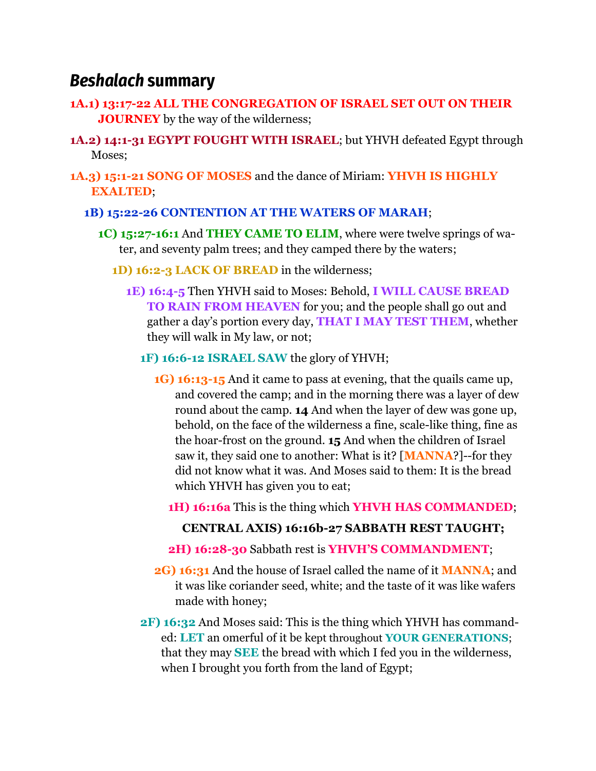# *Beshalach* **summary**

- **1A.1) 13:17-22 ALL THE CONGREGATION OF ISRAEL SET OUT ON THEIR JOURNEY** by the way of the wilderness;
- **1A.2) 14:1-31 EGYPT FOUGHT WITH ISRAEL**; but YHVH defeated Egypt through Moses;
- **1A.3) 15:1-21 SONG OF MOSES** and the dance of Miriam: **YHVH IS HIGHLY EXALTED**;
	- **1B) 15:22-26 CONTENTION AT THE WATERS OF MARAH**;
		- **1C) 15:27-16:1** And **THEY CAME TO ELIM**, where were twelve springs of water, and seventy palm trees; and they camped there by the waters;
			- **1D) 16:2-3 LACK OF BREAD** in the wilderness;
				- **1E) 16:4-5** Then YHVH said to Moses: Behold, **I WILL CAUSE BREAD TO RAIN FROM HEAVEN** for you; and the people shall go out and gather a day's portion every day, **THAT I MAY TEST THEM**, whether they will walk in My law, or not;
					- **1F) 16:6-12 ISRAEL SAW** the glory of YHVH;
						- **1G) 16:13-15** And it came to pass at evening, that the quails came up, and covered the camp; and in the morning there was a layer of dew round about the camp. **14** And when the layer of dew was gone up, behold, on the face of the wilderness a fine, scale-like thing, fine as the hoar-frost on the ground. **15** And when the children of Israel saw it, they said one to another: What is it? [**MANNA**?]--for they did not know what it was. And Moses said to them: It is the bread which YHVH has given you to eat;
							- **1H) 16:16a** This is the thing which **YHVH HAS COMMANDED**;

### **CENTRAL AXIS) 16:16b-27 SABBATH REST TAUGHT;**

- **2H) 16:28-30** Sabbath rest is **YHVH'S COMMANDMENT**;
- **2G) 16:31** And the house of Israel called the name of it **MANNA**; and it was like coriander seed, white; and the taste of it was like wafers made with honey;
- **2F) 16:32** And Moses said: This is the thing which YHVH has commanded: **LET** an omerful of it be kept throughout **YOUR GENERATIONS**; that they may **SEE** the bread with which I fed you in the wilderness, when I brought you forth from the land of Egypt;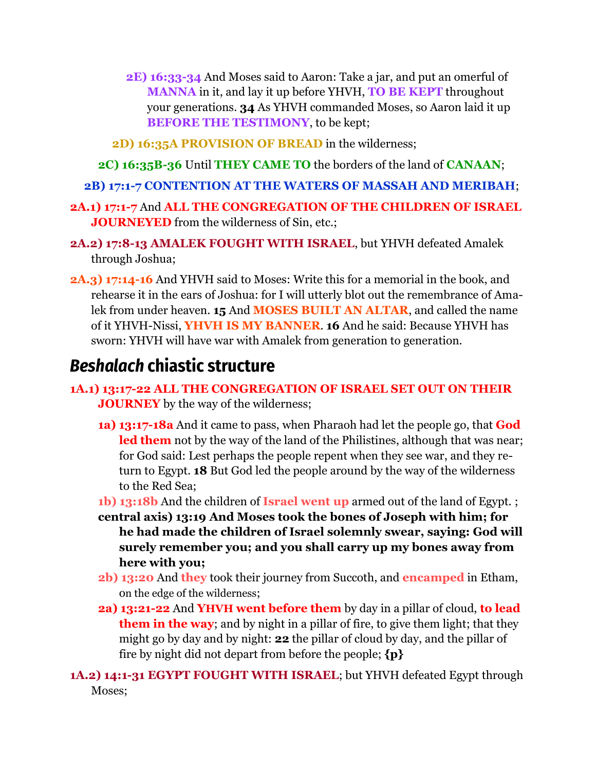- **2E) 16:33-34** And Moses said to Aaron: Take a jar, and put an omerful of **MANNA** in it, and lay it up before YHVH, **TO BE KEPT** throughout your generations. **34** As YHVH commanded Moses, so Aaron laid it up **BEFORE THE TESTIMONY**, to be kept;
- **2D) 16:35A PROVISION OF BREAD** in the wilderness;
- **2C) 16:35B-36** Until **THEY CAME TO** the borders of the land of **CANAAN**;
- **2B) 17:1-7 CONTENTION AT THE WATERS OF MASSAH AND MERIBAH**;
- **2A.1) 17:1-7** And **ALL THE CONGREGATION OF THE CHILDREN OF ISRAEL JOURNEYED** from the wilderness of Sin, etc.;
- **2A.2) 17:8-13 AMALEK FOUGHT WITH ISRAEL**, but YHVH defeated Amalek through Joshua;
- **2A.3) 17:14-16** And YHVH said to Moses: Write this for a memorial in the book, and rehearse it in the ears of Joshua: for I will utterly blot out the remembrance of Amalek from under heaven. **15** And **MOSES BUILT AN ALTAR**, and called the name of it YHVH-Nissi, **YHVH IS MY BANNER**. **16** And he said: Because YHVH has sworn: YHVH will have war with Amalek from generation to generation.

# *Beshalach* **chiastic structure**

- **1A.1) 13:17-22 ALL THE CONGREGATION OF ISRAEL SET OUT ON THEIR JOURNEY** by the way of the wilderness;
	- **1a) 13:17-18a** And it came to pass, when Pharaoh had let the people go, that **God led them** not by the way of the land of the Philistines, although that was near; for God said: Lest perhaps the people repent when they see war, and they return to Egypt. **18** But God led the people around by the way of the wilderness to the Red Sea;
	- **1b) 13:18b** And the children of **Israel went up** armed out of the land of Egypt. ;
	- **central axis) 13:19 And Moses took the bones of Joseph with him; for he had made the children of Israel solemnly swear, saying: God will surely remember you; and you shall carry up my bones away from here with you;**
	- **2b) 13:20** And **they** took their journey from Succoth, and **encamped** in Etham, on the edge of the wilderness;
	- **2a) 13:21-22** And **YHVH went before them** by day in a pillar of cloud, **to lead them in the way**; and by night in a pillar of fire, to give them light; that they might go by day and by night: **22** the pillar of cloud by day, and the pillar of fire by night did not depart from before the people; **{p}**

**1A.2) 14:1-31 EGYPT FOUGHT WITH ISRAEL**; but YHVH defeated Egypt through Moses;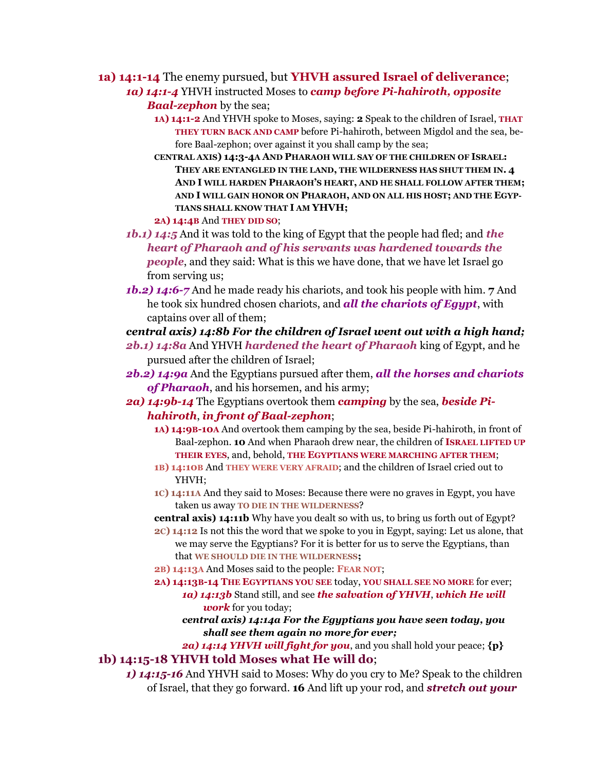**1a) 14:1-14** The enemy pursued, but **YHVH assured Israel of deliverance**;

*1a) 14:1-4* YHVH instructed Moses to *camp before Pi-hahiroth, opposite Baal-zephon* by the sea;

- **1A) 14:1-2** And YHVH spoke to Moses, saying: **2** Speak to the children of Israel, **THAT THEY TURN BACK AND CAMP** before Pi-hahiroth, between Migdol and the sea, before Baal-zephon; over against it you shall camp by the sea;
- **CENTRAL AXIS) 14:3-4A AND PHARAOH WILL SAY OF THE CHILDREN OF ISRAEL: THEY ARE ENTANGLED IN THE LAND, THE WILDERNESS HAS SHUT THEM IN. 4 AND I WILL HARDEN PHARAOH'S HEART, AND HE SHALL FOLLOW AFTER THEM; AND I WILL GAIN HONOR ON PHARAOH, AND ON ALL HIS HOST; AND THE EGYP-TIANS SHALL KNOW THAT I AM YHVH;**

**2A) 14:4B** And **THEY DID SO**;

- *1b.1) 14:5* And it was told to the king of Egypt that the people had fled; and *the heart of Pharaoh and of his servants was hardened towards the people*, and they said: What is this we have done, that we have let Israel go from serving us;
- *1b.2) 14:6-7* And he made ready his chariots, and took his people with him. **7** And he took six hundred chosen chariots, and *all the chariots of Egypt*, with captains over all of them;

*central axis) 14:8b For the children of Israel went out with a high hand;*

- *2b.1) 14:8a* And YHVH *hardened the heart of Pharaoh* king of Egypt, and he pursued after the children of Israel;
- *2b.2) 14:9a* And the Egyptians pursued after them, *all the horses and chariots of Pharaoh*, and his horsemen, and his army;
- *2a) 14:9b-14* The Egyptians overtook them *camping* by the sea, *beside Pihahiroth*, *in front of Baal-zephon*;
	- **1A) 14:9B-10A** And overtook them camping by the sea, beside Pi-hahiroth, in front of Baal-zephon. **10** And when Pharaoh drew near, the children of **ISRAEL LIFTED UP THEIR EYES**, and, behold, **THE EGYPTIANS WERE MARCHING AFTER THEM**;
	- **1B) 14:10B** And **THEY WERE VERY AFRAID**; and the children of Israel cried out to YHVH;
	- **1C) 14:11A** And they said to Moses: Because there were no graves in Egypt, you have taken us away **TO DIE IN THE WILDERNESS**?

**central axis) 14:11b** Why have you dealt so with us, to bring us forth out of Egypt?

- **2C) 14:12** Is not this the word that we spoke to you in Egypt, saying: Let us alone, that we may serve the Egyptians? For it is better for us to serve the Egyptians, than that **WE SHOULD DIE IN THE WILDERNESS;**
- **2B) 14:13A** And Moses said to the people: **FEAR NOT**;
- **2A) 14:13B-14 THE EGYPTIANS YOU SEE** today, **YOU SHALL SEE NO MORE** for ever; *1a) 14:13b* Stand still, and see *the salvation of YHVH*, *which He will work* for you today;
	- *central axis) 14:14a For the Egyptians you have seen today, you shall see them again no more for ever;*

*2a) 14:14 YHVH will fight for you*, and you shall hold your peace; **{p} 1b) 14:15-18 YHVH told Moses what He will do**;

*1) 14:15-16* And YHVH said to Moses: Why do you cry to Me? Speak to the children of Israel, that they go forward. **16** And lift up your rod, and *stretch out your*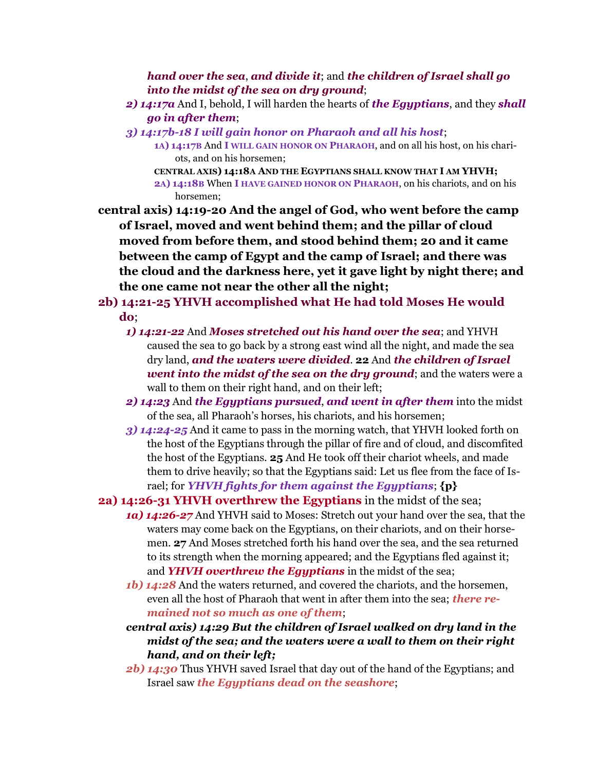*hand over the sea*, *and divide it*; and *the children of Israel shall go into the midst of the sea on dry ground*;

- *2) 14:17a* And I, behold, I will harden the hearts of *the Egyptians*, and they *shall go in after them*;
- *3) 14:17b-18 I will gain honor on Pharaoh and all his host*;
	- **1A) 14:17B** And **I WILL GAIN HONOR ON PHARAOH**, and on all his host, on his chariots, and on his horsemen;
	- **CENTRAL AXIS) 14:18A AND THE EGYPTIANS SHALL KNOW THAT I AM YHVH; 2A) 14:18B** When **I HAVE GAINED HONOR ON PHARAOH**, on his chariots, and on his horsemen;

**central axis) 14:19-20 And the angel of God, who went before the camp of Israel, moved and went behind them; and the pillar of cloud moved from before them, and stood behind them; 20 and it came between the camp of Egypt and the camp of Israel; and there was the cloud and the darkness here, yet it gave light by night there; and the one came not near the other all the night;**

- **2b) 14:21-25 YHVH accomplished what He had told Moses He would do**;
	- *1) 14:21-22* And *Moses stretched out his hand over the sea*; and YHVH caused the sea to go back by a strong east wind all the night, and made the sea dry land, *and the waters were divided*. **22** And *the children of Israel went into the midst of the sea on the dry ground*; and the waters were a wall to them on their right hand, and on their left;
	- *2) 14:23* And *the Egyptians pursued*, *and went in after them* into the midst of the sea, all Pharaoh's horses, his chariots, and his horsemen;
	- *3) 14:24-25* And it came to pass in the morning watch, that YHVH looked forth on the host of the Egyptians through the pillar of fire and of cloud, and discomfited the host of the Egyptians. **25** And He took off their chariot wheels, and made them to drive heavily; so that the Egyptians said: Let us flee from the face of Israel; for *YHVH fights for them against the Egyptians*; **{p}**
- **2a) 14:26-31 YHVH overthrew the Egyptians** in the midst of the sea;
	- *1a) 14:26-27* And YHVH said to Moses: Stretch out your hand over the sea, that the waters may come back on the Egyptians, on their chariots, and on their horsemen. **27** And Moses stretched forth his hand over the sea, and the sea returned to its strength when the morning appeared; and the Egyptians fled against it; and *YHVH overthrew the Egyptians* in the midst of the sea;
	- *1b) 14:28* And the waters returned, and covered the chariots, and the horsemen, even all the host of Pharaoh that went in after them into the sea; *there remained not so much as one of them*;
	- *central axis) 14:29 But the children of Israel walked on dry land in the midst of the sea; and the waters were a wall to them on their right hand, and on their left;*
	- *2b) 14:30* Thus YHVH saved Israel that day out of the hand of the Egyptians; and Israel saw *the Egyptians dead on the seashore*;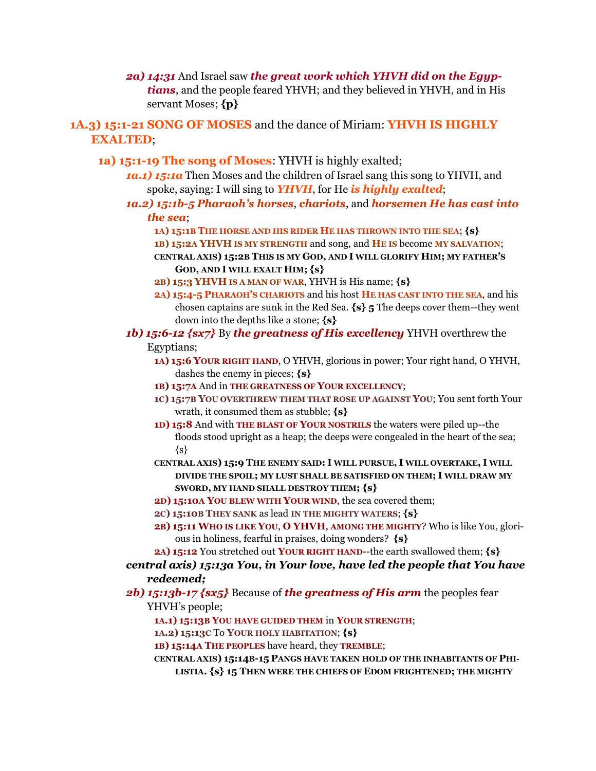*2a) 14:31* And Israel saw *the great work which YHVH did on the Egyptians*, and the people feared YHVH; and they believed in YHVH, and in His servant Moses; **{p}**

**1A.3) 15:1-21 SONG OF MOSES** and the dance of Miriam: **YHVH IS HIGHLY EXALTED**;

- **1a) 15:1-19 The song of Moses**: YHVH is highly exalted;
	- *1a.1) 15:1a* Then Moses and the children of Israel sang this song to YHVH, and spoke, saying: I will sing to *YHVH*, for He *is highly exalted*;
	- *1a.2) 15:1b-5 Pharaoh's horses*, *chariots*, and *horsemen He has cast into the sea*;
		- **1A) 15:1B THE HORSE AND HIS RIDER HE HAS THROWN INTO THE SEA**; **{s}**
		- **1B) 15:2A YHVH IS MY STRENGTH** and song, and **HE IS** become **MY SALVATION**;
		- **CENTRAL AXIS) 15:2B THIS IS MY GOD, AND I WILL GLORIFY HIM; MY FATHER'S GOD, AND I WILL EXALT HIM; {s}**
		- **2B) 15:3 YHVH IS A MAN OF WAR**, YHVH is His name; **{s}**
		- **2A) 15:4-5 PHARAOH'S CHARIOTS** and his host **HE HAS CAST INTO THE SEA**, and his chosen captains are sunk in the Red Sea. **{s} 5** The deeps cover them--they went down into the depths like a stone; **{s}**
	- *1b) 15:6-12 {sx7}* By *the greatness of His excellency* YHVH overthrew the Egyptians;
		- **1A) 15:6 YOUR RIGHT HAND**, O YHVH, glorious in power; Your right hand, O YHVH, dashes the enemy in pieces; **{s}**
		- **1B) 15:7A** And in **THE GREATNESS OF YOUR EXCELLENCY**;
		- **1C) 15:7B YOU OVERTHREW THEM THAT ROSE UP AGAINST YOU**; You sent forth Your wrath, it consumed them as stubble; **{s}**
		- **1D) 15:8** And with **THE BLAST OF YOUR NOSTRILS** the waters were piled up--the floods stood upright as a heap; the deeps were congealed in the heart of the sea;  $\{s\}$
		- **CENTRAL AXIS) 15:9 THE ENEMY SAID: I WILL PURSUE, I WILL OVERTAKE, I WILL DIVIDE THE SPOIL; MY LUST SHALL BE SATISFIED ON THEM; I WILL DRAW MY SWORD, MY HAND SHALL DESTROY THEM; {s}**
		- **2D) 15:10A YOU BLEW WITH YOUR WIND**, the sea covered them;
		- **2C) 15:10B THEY SANK** as lead **IN THE MIGHTY WATERS**; **{s}**
		- **2B) 15:11 WHO IS LIKE YOU**, **O YHVH**, **AMONG THE MIGHTY**? Who is like You, glorious in holiness, fearful in praises, doing wonders? **{s}**
		- **2A) 15:12** You stretched out **YOUR RIGHT HAND**--the earth swallowed them; **{s}**

*central axis) 15:13a You, in Your love, have led the people that You have redeemed;* 

- *2b) 15:13b-17 {sx5}* Because of *the greatness of His arm* the peoples fear YHVH's people;
	- **1A.1) 15:13B YOU HAVE GUIDED THEM** in **YOUR STRENGTH**;
	- **1A.2) 15:13C** To **YOUR HOLY HABITATION**; **{s}**
	- **1B) 15:14A THE PEOPLES** have heard, they **TREMBLE**;
	- **CENTRAL AXIS) 15:14B-15 PANGS HAVE TAKEN HOLD OF THE INHABITANTS OF PHI-LISTIA. {s} 15 THEN WERE THE CHIEFS OF EDOM FRIGHTENED; THE MIGHTY**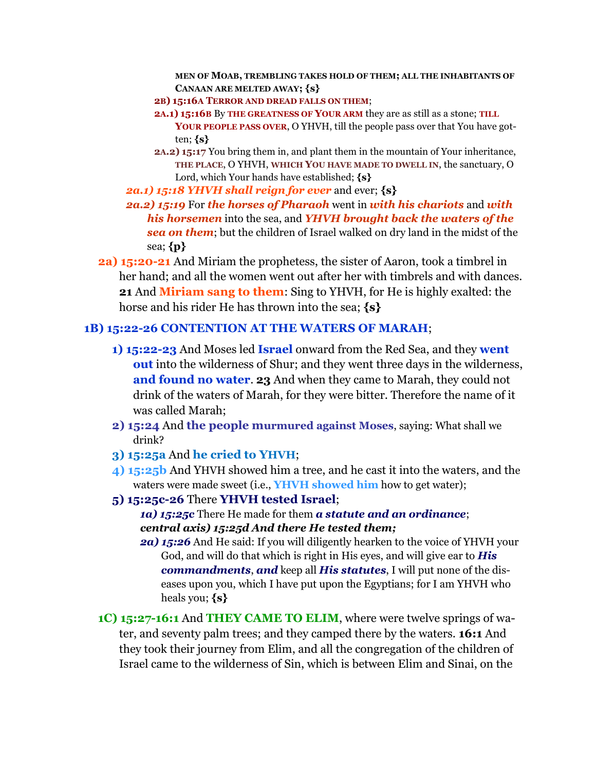**MEN OF MOAB, TREMBLING TAKES HOLD OF THEM; ALL THE INHABITANTS OF CANAAN ARE MELTED AWAY; {s}**

- **2B) 15:16A TERROR AND DREAD FALLS ON THEM**;
- **2A.1) 15:16B** By **THE GREATNESS OF YOUR ARM** they are as still as a stone; **TILL YOUR PEOPLE PASS OVER**, O YHVH, till the people pass over that You have gotten; **{s}**
- **2A.2) 15:17** You bring them in, and plant them in the mountain of Your inheritance, **THE PLACE**, O YHVH, **WHICH YOU HAVE MADE TO DWELL IN**, the sanctuary, O Lord, which Your hands have established; **{s}**

*2a.1) 15:18 YHVH shall reign for ever* and ever; **{s}**

- *2a.2) 15:19* For *the horses of Pharaoh* went in *with his chariots* and *with his horsemen* into the sea, and *YHVH brought back the waters of the sea on them*; but the children of Israel walked on dry land in the midst of the sea; **{p}**
- **2a) 15:20-21** And Miriam the prophetess, the sister of Aaron, took a timbrel in her hand; and all the women went out after her with timbrels and with dances. **21** And **Miriam sang to them**: Sing to YHVH, for He is highly exalted: the horse and his rider He has thrown into the sea; **{s}**

#### **1B) 15:22-26 CONTENTION AT THE WATERS OF MARAH**;

- **1) 15:22-23** And Moses led **Israel** onward from the Red Sea, and they **went out** into the wilderness of Shur; and they went three days in the wilderness, **and found no water**. **23** And when they came to Marah, they could not drink of the waters of Marah, for they were bitter. Therefore the name of it was called Marah;
- **2) 15:24** And **the people murmured against Moses**, saying: What shall we drink?
- **3) 15:25a** And **he cried to YHVH**;
- **4) 15:25b** And YHVH showed him a tree, and he cast it into the waters, and the waters were made sweet (i.e., **YHVH showed him** how to get water);
- **5) 15:25c-26** There **YHVH tested Israel**;

*1a) 15:25c* There He made for them *a statute and an ordinance*; *central axis) 15:25d And there He tested them;*

- *2a) 15:26* And He said: If you will diligently hearken to the voice of YHVH your God, and will do that which is right in His eyes, and will give ear to *His commandments*, *and* keep all *His statutes*, I will put none of the diseases upon you, which I have put upon the Egyptians; for I am YHVH who heals you; **{s}**
- **1C) 15:27-16:1** And **THEY CAME TO ELIM**, where were twelve springs of water, and seventy palm trees; and they camped there by the waters. **16:1** And they took their journey from Elim, and all the congregation of the children of Israel came to the wilderness of Sin, which is between Elim and Sinai, on the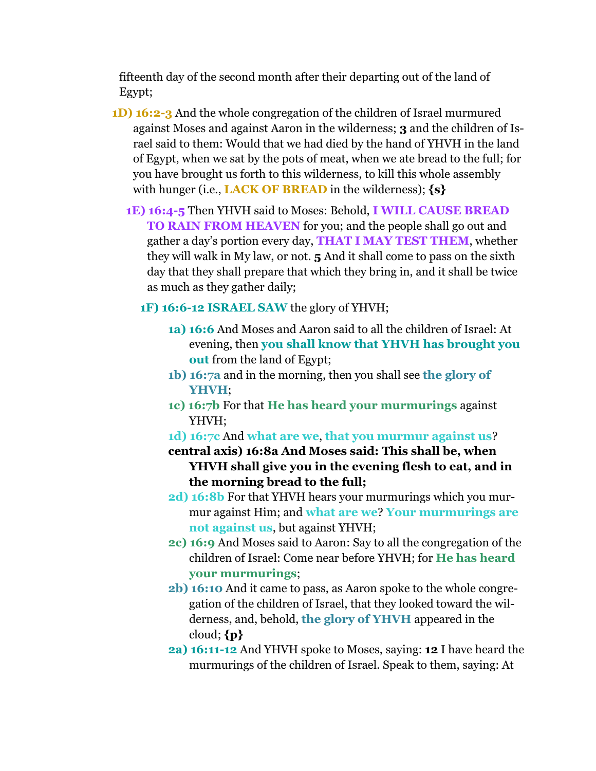fifteenth day of the second month after their departing out of the land of Egypt;

- **1D) 16:2-3** And the whole congregation of the children of Israel murmured against Moses and against Aaron in the wilderness; **3** and the children of Israel said to them: Would that we had died by the hand of YHVH in the land of Egypt, when we sat by the pots of meat, when we ate bread to the full; for you have brought us forth to this wilderness, to kill this whole assembly with hunger (i.e., **LACK OF BREAD** in the wilderness); **{s}**
	- **1E) 16:4-5** Then YHVH said to Moses: Behold, **I WILL CAUSE BREAD TO RAIN FROM HEAVEN** for you; and the people shall go out and gather a day's portion every day, **THAT I MAY TEST THEM**, whether they will walk in My law, or not. **5** And it shall come to pass on the sixth day that they shall prepare that which they bring in, and it shall be twice as much as they gather daily;

**1F) 16:6-12 ISRAEL SAW** the glory of YHVH;

- **1a) 16:6** And Moses and Aaron said to all the children of Israel: At evening, then **you shall know that YHVH has brought you out** from the land of Egypt;
- **1b) 16:7a** and in the morning, then you shall see **the glory of YHVH**;
- **1c) 16:7b** For that **He has heard your murmurings** against YHVH;
- **1d) 16:7c** And **what are we**, **that you murmur against us**?
- **central axis) 16:8a And Moses said: This shall be, when YHVH shall give you in the evening flesh to eat, and in the morning bread to the full;**
- **2d) 16:8b** For that YHVH hears your murmurings which you murmur against Him; and **what are we**? **Your murmurings are not against us**, but against YHVH;
- **2c) 16:9** And Moses said to Aaron: Say to all the congregation of the children of Israel: Come near before YHVH; for **He has heard your murmurings**;
- **2b) 16:10** And it came to pass, as Aaron spoke to the whole congregation of the children of Israel, that they looked toward the wilderness, and, behold, **the glory of YHVH** appeared in the cloud; **{p}**
- **2a) 16:11-12** And YHVH spoke to Moses, saying: **12** I have heard the murmurings of the children of Israel. Speak to them, saying: At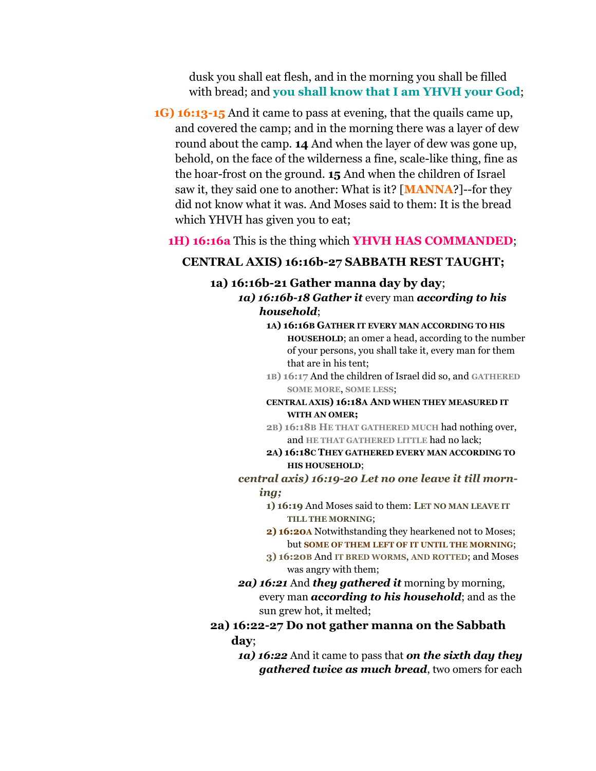dusk you shall eat flesh, and in the morning you shall be filled with bread; and **you shall know that I am YHVH your God**;

**1G) 16:13-15** And it came to pass at evening, that the quails came up, and covered the camp; and in the morning there was a layer of dew round about the camp. **14** And when the layer of dew was gone up, behold, on the face of the wilderness a fine, scale-like thing, fine as the hoar-frost on the ground. **15** And when the children of Israel saw it, they said one to another: What is it? [**MANNA**?]--for they did not know what it was. And Moses said to them: It is the bread which YHVH has given you to eat;

#### **1H) 16:16a** This is the thing which **YHVH HAS COMMANDED**;

#### **CENTRAL AXIS) 16:16b-27 SABBATH REST TAUGHT;**

#### **1a) 16:16b-21 Gather manna day by day**; *1a) 16:16b-18 Gather it* every man *according to his household*;

- **1A) 16:16B GATHER IT EVERY MAN ACCORDING TO HIS HOUSEHOLD**; an omer a head, according to the number of your persons, you shall take it, every man for them that are in his tent;
- **1B) 16:17** And the children of Israel did so, and **GATHERED SOME MORE**, **SOME LESS**;

#### **CENTRAL AXIS) 16:18A AND WHEN THEY MEASURED IT WITH AN OMER;**

- **2B) 16:18B HE THAT GATHERED MUCH** had nothing over, and **HE THAT GATHERED LITTLE** had no lack;
- **2A) 16:18C THEY GATHERED EVERY MAN ACCORDING TO HIS HOUSEHOLD**;
- *central axis) 16:19-20 Let no one leave it till morning;*
	- **1) 16:19** And Moses said to them: **LET NO MAN LEAVE IT TILL THE MORNING**;
	- **2) 16:20A** Notwithstanding they hearkened not to Moses; but **SOME OF THEM LEFT OF IT UNTIL THE MORNING**;
	- **3) 16:20B** And **IT BRED WORMS**, **AND ROTTED**; and Moses was angry with them;
- *2a) 16:21* And *they gathered it* morning by morning, every man *according to his household*; and as the sun grew hot, it melted;

## **2a) 16:22-27 Do not gather manna on the Sabbath**

#### **day**;

*1a) 16:22* And it came to pass that *on the sixth day they gathered twice as much bread*, two omers for each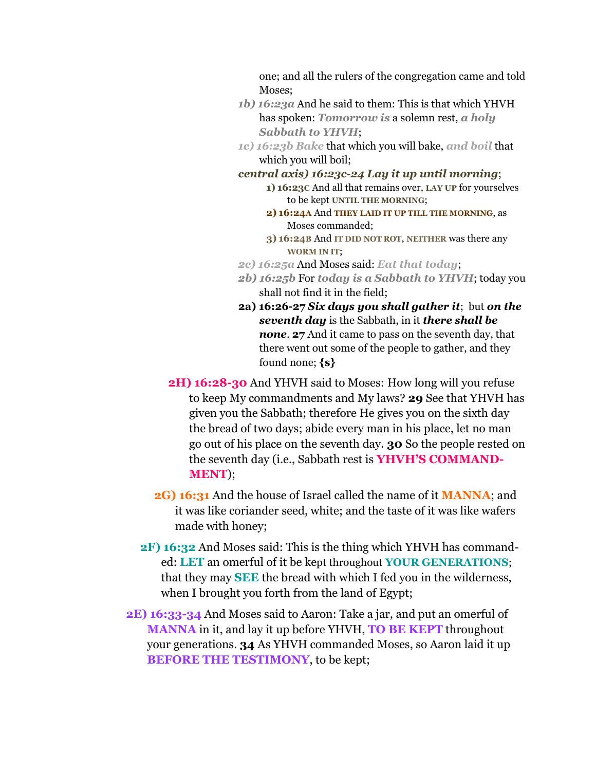one; and all the rulers of the congregation came and told Moses;

- *1b) 16:23a* And he said to them: This is that which YHVH has spoken: *Tomorrow is* a solemn rest, *a holy Sabbath to YHVH*;
- *1c) 16:23b Bake* that which you will bake, *and boil* that which you will boil;
- *central axis) 16:23c-24 Lay it up until morning*;
	- **1) 16:23C** And all that remains over, **LAY UP** for yourselves to be kept **UNTIL THE MORNING**;
	- **2) 16:24A** And **THEY LAID IT UP TILL THE MORNING**, as Moses commanded;
	- **3) 16:24B** And **IT DID NOT ROT**, **NEITHER** was there any **WORM IN IT**;
- *2c) 16:25a* And Moses said: *Eat that today*;
- *2b) 16:25b* For *today is a Sabbath to YHVH*; today you shall not find it in the field;
- **2a) 16:26-27** *Six days you shall gather it*; but *on the seventh day* is the Sabbath, in it *there shall be none*. **27** And it came to pass on the seventh day, that there went out some of the people to gather, and they found none; **{s}**
- **2H) 16:28-30** And YHVH said to Moses: How long will you refuse to keep My commandments and My laws? **29** See that YHVH has given you the Sabbath; therefore He gives you on the sixth day the bread of two days; abide every man in his place, let no man go out of his place on the seventh day. **30** So the people rested on the seventh day (i.e., Sabbath rest is **YHVH'S COMMAND-MENT**);
- **2G) 16:31** And the house of Israel called the name of it **MANNA**; and it was like coriander seed, white; and the taste of it was like wafers made with honey;
- **2F) 16:32** And Moses said: This is the thing which YHVH has commanded: **LET** an omerful of it be kept throughout **YOUR GENERATIONS**; that they may **SEE** the bread with which I fed you in the wilderness, when I brought you forth from the land of Egypt;
- **2E) 16:33-34** And Moses said to Aaron: Take a jar, and put an omerful of **MANNA** in it, and lay it up before YHVH, **TO BE KEPT** throughout your generations. **34** As YHVH commanded Moses, so Aaron laid it up **BEFORE THE TESTIMONY**, to be kept: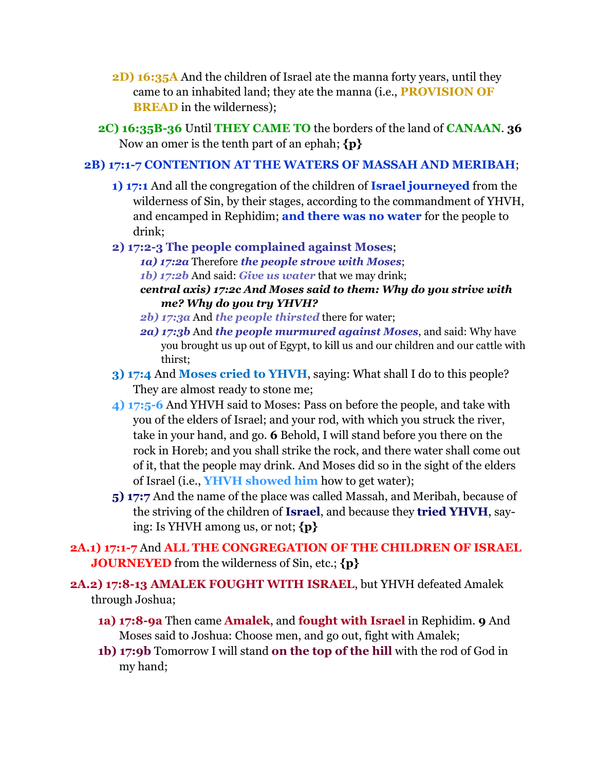- **2D) 16:35A** And the children of Israel ate the manna forty years, until they came to an inhabited land; they ate the manna (i.e., **PROVISION OF BREAD** in the wilderness);
- **2C) 16:35B-36** Until **THEY CAME TO** the borders of the land of **CANAAN**. **36** Now an omer is the tenth part of an ephah; **{p}**

#### **2B) 17:1-7 CONTENTION AT THE WATERS OF MASSAH AND MERIBAH**;

**1) 17:1** And all the congregation of the children of **Israel journeyed** from the wilderness of Sin, by their stages, according to the commandment of YHVH, and encamped in Rephidim; **and there was no water** for the people to drink;

#### **2) 17:2-3 The people complained against Moses**;

- *1a) 17:2a* Therefore *the people strove with Moses*;
- *1b) 17:2b* And said: *Give us water* that we may drink;
- *central axis) 17:2c And Moses said to them: Why do you strive with me? Why do you try YHVH?*
- *2b) 17:3a* And *the people thirsted* there for water;
- *2a) 17:3b* And *the people murmured against Moses*, and said: Why have you brought us up out of Egypt, to kill us and our children and our cattle with thirst;
- **3) 17:4** And **Moses cried to YHVH**, saying: What shall I do to this people? They are almost ready to stone me;
- **4) 17:5-6** And YHVH said to Moses: Pass on before the people, and take with you of the elders of Israel; and your rod, with which you struck the river, take in your hand, and go. **6** Behold, I will stand before you there on the rock in Horeb; and you shall strike the rock, and there water shall come out of it, that the people may drink. And Moses did so in the sight of the elders of Israel (i.e., **YHVH showed him** how to get water);
- **5) 17:7** And the name of the place was called Massah, and Meribah, because of the striving of the children of **Israel**, and because they **tried YHVH**, saying: Is YHVH among us, or not; **{p}**

### **2A.1) 17:1-7** And **ALL THE CONGREGATION OF THE CHILDREN OF ISRAEL JOURNEYED** from the wilderness of Sin, etc.; **{p}**

- **2A.2) 17:8-13 AMALEK FOUGHT WITH ISRAEL**, but YHVH defeated Amalek through Joshua;
	- **1a) 17:8-9a** Then came **Amalek**, and **fought with Israel** in Rephidim. **9** And Moses said to Joshua: Choose men, and go out, fight with Amalek;
	- **1b) 17:9b** Tomorrow I will stand **on the top of the hill** with the rod of God in my hand;